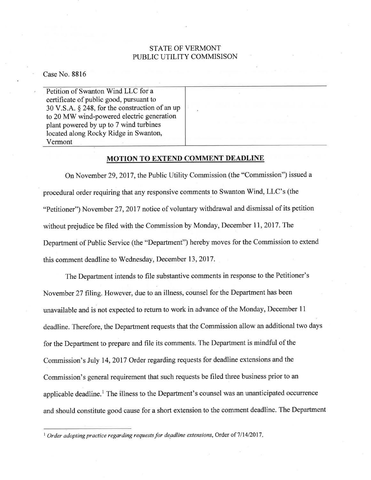## STATE OF VERMONT PUBLIC UTILITY COMMISISON

Case No. 8816

Petition of Swanton Wind LLC for a certificate of public good, pursuant to 30 V.S.A. \$ 248, for the construction of an up to 20 MW wind-powered electric generation plant powered by up to 7 wind turbines located along Rocky Ridge in Swanton, Vermont

## MOTION TO EXTEND COMMENT DEADLINE

On November 29,2017, the Public Utility Commission (the "Commission") issued a procedural order requiring that any responsive comments to Swanton Wind, LLC's (the "Petitioner") November 27,2017 notice of voluntary withdrawal and dismissal of its petition without prejudice be filed with the Commission by Monday, December 11, 2017. The Department of Public Service (the "Department") hereby moves for the Commission to extend this comment deadline to Wednesday, December 13, 2017.

The Department intends to file substantive comments in response to the Petitioner's November 27 filing. However, due to an illness, counsel for the Department has been unavailable and is not expected to retum to work in advance of the Monday, December <sup>11</sup> deadline. Therefore, the Department requests that the Commission allow an additional two days for the Departinent to prepare and file its comments. The Department is mindful of the Commission's July 14,2017 Order regarding requests for deadline extensions and the Commission's general requirement that such requests be filed three business prior to an applicable deadline.<sup>1</sup> The illness to the Department's counsel was an unanticipated occurrence and should constitute good cause for a short extension to the comment deadline. The Department

 $1$  Order adopting practice regarding requests for deadline extensions, Order of  $7/14/2017$ .